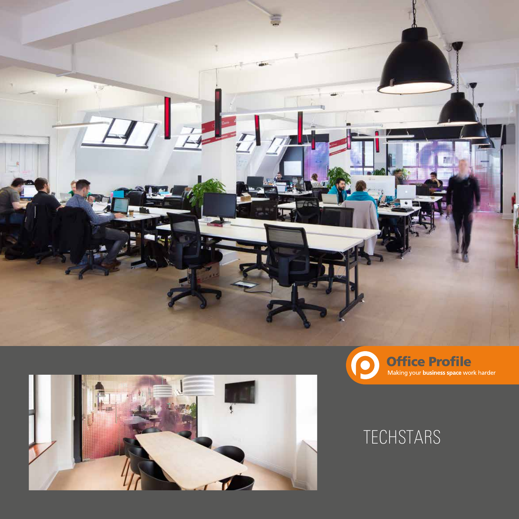



## **TECHSTARS**